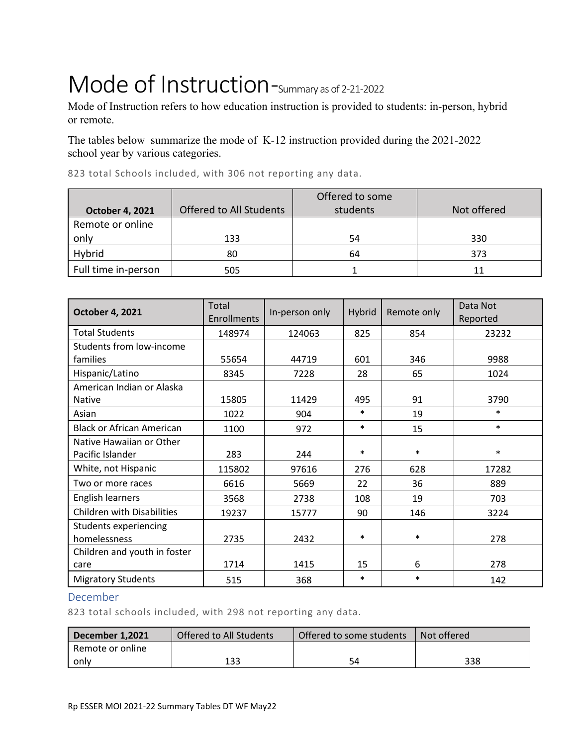## Mode of Instruction-Summary as of 2-21-2022

Mode of Instruction refers to how education instruction is provided to students: in-person, hybrid or remote.

The tables below summarize the mode of K-12 instruction provided during the 2021-2022 school year by various categories.

| <b>October 4, 2021</b> | Offered to All Students | Offered to some<br>students | Not offered |
|------------------------|-------------------------|-----------------------------|-------------|
| Remote or online       |                         |                             |             |
| only                   | 133                     | 54                          | 330         |
| Hybrid                 | 80                      | 64                          | 373         |
| Full time in-person    | 505                     |                             |             |

823 total Schools included, with 306 not reporting any data.

| <b>October 4, 2021</b>            | Total<br><b>Enrollments</b> | In-person only | Hybrid | Remote only | Data Not<br>Reported |
|-----------------------------------|-----------------------------|----------------|--------|-------------|----------------------|
| <b>Total Students</b>             | 148974                      | 124063         | 825    | 854         | 23232                |
| Students from low-income          |                             |                |        |             |                      |
| families                          | 55654                       | 44719          | 601    | 346         | 9988                 |
| Hispanic/Latino                   | 8345                        | 7228           | 28     | 65          | 1024                 |
| American Indian or Alaska         |                             |                |        |             |                      |
| <b>Native</b>                     | 15805                       | 11429          | 495    | 91          | 3790                 |
| Asian                             | 1022                        | 904            | $\ast$ | 19          | $\ast$               |
| <b>Black or African American</b>  | 1100                        | 972            | $\ast$ | 15          | $\ast$               |
| Native Hawaiian or Other          |                             |                |        |             |                      |
| Pacific Islander                  | 283                         | 244            | $\ast$ | $\ast$      | $\ast$               |
| White, not Hispanic               | 115802                      | 97616          | 276    | 628         | 17282                |
| Two or more races                 | 6616                        | 5669           | 22     | 36          | 889                  |
| English learners                  | 3568                        | 2738           | 108    | 19          | 703                  |
| <b>Children with Disabilities</b> | 19237                       | 15777          | 90     | 146         | 3224                 |
| <b>Students experiencing</b>      |                             |                |        |             |                      |
| homelessness                      | 2735                        | 2432           | $\ast$ | $\ast$      | 278                  |
| Children and youth in foster      |                             |                |        |             |                      |
| care                              | 1714                        | 1415           | 15     | 6           | 278                  |
| <b>Migratory Students</b>         | 515                         | 368            | $\ast$ | $\ast$      | 142                  |

## December

823 total schools included, with 298 not reporting any data.

| December $1,2021$  | Offered to All Students | Offered to some students | ' Not offered |  |
|--------------------|-------------------------|--------------------------|---------------|--|
| l Remote or online |                         |                          |               |  |
| only               | 133                     | 54                       | 338           |  |